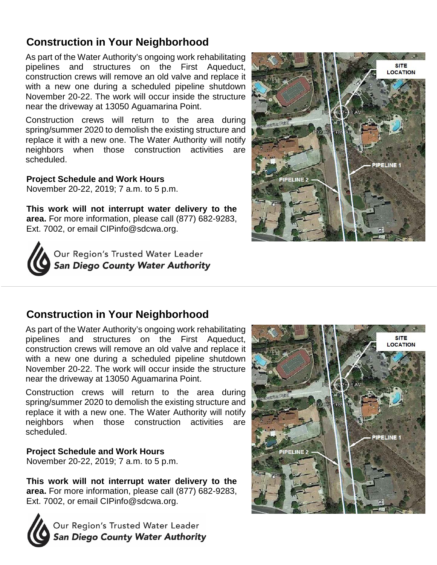## **Construction in Your Neighborhood**

As part of the Water Authority's ongoing work rehabilitating pipelines and structures on the First Aqueduct, construction crews will remove an old valve and replace it with a new one during a scheduled pipeline shutdown November 20-22. The work will occur inside the structure near the driveway at 13050 Aguamarina Point.

Construction crews will return to the area during spring/summer 2020 to demolish the existing structure and replace it with a new one. The Water Authority will notify neighbors when those construction activities are scheduled.

**Project Schedule and Work Hours**  November 20-22, 2019; 7 a.m. to 5 p.m.

**This work will not interrupt water delivery to the area.** For more information, please call (877) 682-9283, Ext. 7002, or email [CIPinfo@sdcwa.org.](mailto:CIPinfo@sdcwa.org)





## **Construction in Your Neighborhood**

As part of the Water Authority's ongoing work rehabilitating pipelines and structures on the First Aqueduct, construction crews will remove an old valve and replace it with a new one during a scheduled pipeline shutdown November 20-22. The work will occur inside the structure near the driveway at 13050 Aguamarina Point.

Construction crews will return to the area during spring/summer 2020 to demolish the existing structure and replace it with a new one. The Water Authority will notify neighbors when those construction activities are scheduled.

## **Project Schedule and Work Hours**

November 20-22, 2019; 7 a.m. to 5 p.m.

**This work will not interrupt water delivery to the area.** For more information, please call (877) 682-9283, Ext. 7002, or email [CIPinfo@sdcwa.org.](mailto:CIPinfo@sdcwa.org)



Our Region's Trusted Water Leader **San Diego County Water Authority**